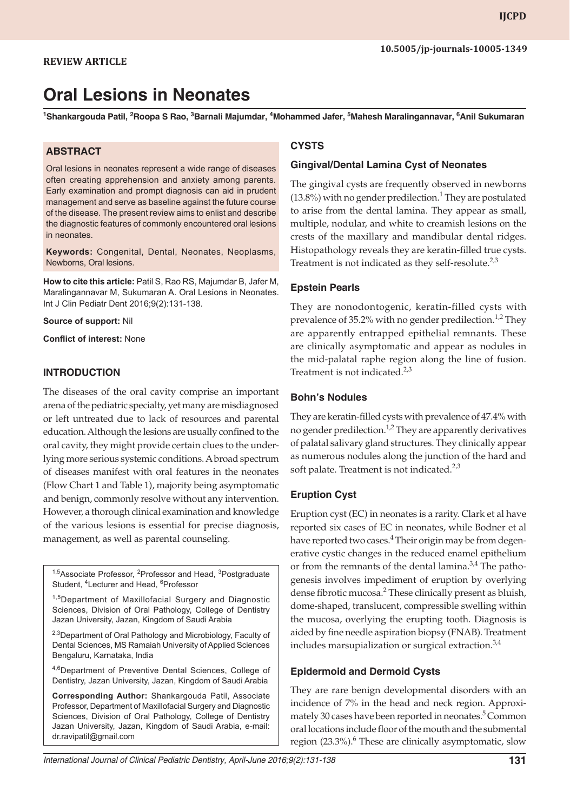# **Oral Lesions in Neonates**

<sup>1</sup>Shankargouda Patil, <sup>2</sup>Roopa S Rao, <sup>3</sup>Barnali Majumdar, <sup>4</sup>Mohammed Jafer, <sup>5</sup>Mahesh Maralingannavar, <sup>6</sup>Anil Sukumaran

#### **ABSTRACT**

Oral lesions in neonates represent a wide range of diseases often creating apprehension and anxiety among parents. Early examination and prompt diagnosis can aid in prudent management and serve as baseline against the future course of the disease. The present review aims to enlist and describe the diagnostic features of commonly encountered oral lesions in neonates.

**Keywords:** Congenital, Dental, Neonates, Neoplasms, Newborns, Oral lesions.

**How to cite this article:** Patil S, Rao RS, Majumdar B, Jafer M, Maralingannavar M, Sukumaran A. Oral Lesions in Neonates. Int J Clin Pediatr Dent 2016;9(2):131-138.

**Source of support:** Nil

**Conflict of interest:** None

#### **INTRODUCTION**

The diseases of the oral cavity comprise an important arena of the pediatric specialty, yet many are misdiagnosed or left untreated due to lack of resources and parental education. Although the lesions are usually confined to the oral cavity, they might provide certain clues to the underlying more serious systemic conditions. A broad spectrum of diseases manifest with oral features in the neonates (Flow Chart 1 and Table 1), majority being asymptomatic and benign, commonly resolve without any intervention. However, a thorough clinical examination and knowledge of the various lesions is essential for precise diagnosis, management, as well as parental counseling.

<sup>1,5</sup>Associate Professor, <sup>2</sup>Professor and Head, <sup>3</sup>Postgraduate Student, <sup>4</sup>Lecturer and Head, <sup>6</sup>Professor

<sup>1,5</sup>Department of Maxillofacial Surgery and Diagnostic Sciences, Division of Oral Pathology, College of Dentistry Jazan University, Jazan, Kingdom of Saudi Arabia

<sup>2,3</sup>Department of Oral Pathology and Microbiology, Faculty of Dental Sciences, MS Ramaiah University of Applied Sciences Bengaluru, Karnataka, India

4,6Department of Preventive Dental Sciences, College of Dentistry, Jazan University, Jazan, Kingdom of Saudi Arabia

**Corresponding Author:** Shankargouda Patil, Associate Professor, Department of Maxillofacial Surgery and Diagnostic Sciences, Division of Oral Pathology, College of Dentistry Jazan University, Jazan, Kingdom of Saudi Arabia, e-mail: dr.ravipatil@gmail.com

#### **CYSTS**

#### **Gingival/Dental Lamina Cyst of Neonates**

The gingival cysts are frequently observed in newborns  $(13.8%)$  with no gender predilection.<sup>1</sup> They are postulated to arise from the dental lamina. They appear as small, multiple, nodular, and white to creamish lesions on the crests of the maxillary and mandibular dental ridges. Histopathology reveals they are keratin-filled true cysts. Treatment is not indicated as they self-resolute. $2,3$ 

#### **Epstein Pearls**

They are nonodontogenic, keratin-filled cysts with prevalence of 35.2% with no gender predilection.<sup>1,2</sup> They are apparently entrapped epithelial remnants. These are clinically asymptomatic and appear as nodules in the mid-palatal raphe region along the line of fusion. Treatment is not indicated. $2,3$ 

#### **Bohn's Nodules**

They are keratin-filled cysts with prevalence of 47.4% with no gender predilection.<sup>1,2</sup> They are apparently derivatives of palatal salivary gland structures. They clinically appear as numerous nodules along the junction of the hard and soft palate. Treatment is not indicated. $2,3$ 

# **Eruption Cyst**

Eruption cyst (EC) in neonates is a rarity. Clark et al have reported six cases of EC in neonates, while Bodner et al have reported two cases.<sup>4</sup> Their origin may be from degenerative cystic changes in the reduced enamel epithelium or from the remnants of the dental lamina. $3,4$  The pathogenesis involves impediment of eruption by overlying dense fibrotic mucosa.<sup>2</sup> These clinically present as bluish, dome-shaped, translucent, compressible swelling within the mucosa, overlying the erupting tooth. Diagnosis is aided by fine needle aspiration biopsy (FNAB). Treatment includes marsupialization or surgical extraction.<sup>3,4</sup>

#### **Epidermoid and Dermoid Cysts**

They are rare benign developmental disorders with an incidence of 7% in the head and neck region. Approximately 30 cases have been reported in neonates.<sup>5</sup> Common oral locations include floor of the mouth and the submental region (23.3%).<sup>6</sup> These are clinically asymptomatic, slow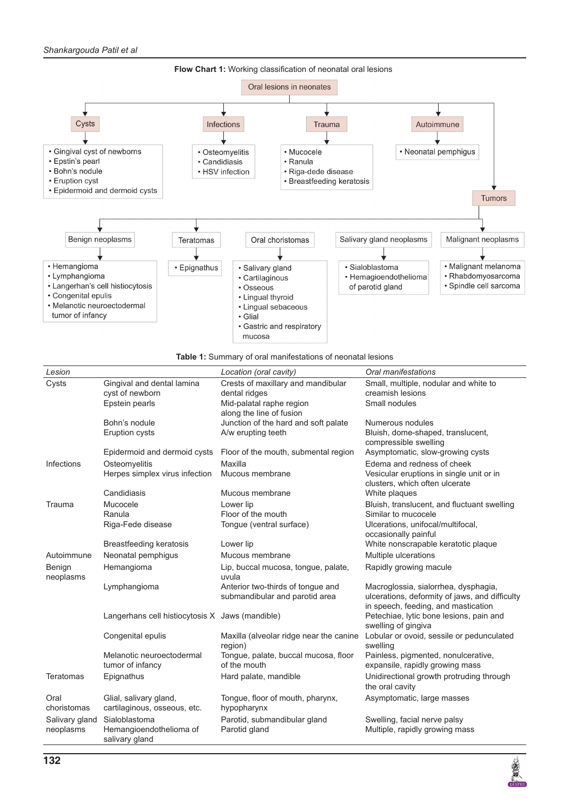



| Lesion              |                                                        | Location (oral cavity)                                              | Oral manifestations                                                                                                           |
|---------------------|--------------------------------------------------------|---------------------------------------------------------------------|-------------------------------------------------------------------------------------------------------------------------------|
| Cysts               | Gingival and dental lamina<br>cyst of newborn          | Crests of maxillary and mandibular<br>dental ridges                 | Small, multiple, nodular and white to<br>creamish lesions                                                                     |
|                     | Epstein pearls                                         | Mid-palatal raphe region<br>along the line of fusion                | Small nodules                                                                                                                 |
|                     | Bohn's nodule                                          | Junction of the hard and soft palate                                | Numerous nodules                                                                                                              |
|                     | Eruption cysts                                         | A/w erupting teeth                                                  | Bluish, dome-shaped, translucent,<br>compressible swelling                                                                    |
|                     | Epidermoid and dermoid cysts                           | Floor of the mouth, submental region                                | Asymptomatic, slow-growing cysts                                                                                              |
| Infections          | Osteomyelitis                                          | Maxilla                                                             | Edema and redness of cheek                                                                                                    |
|                     | Herpes simplex virus infection                         | Mucous membrane                                                     | Vesicular eruptions in single unit or in<br>clusters, which often ulcerate                                                    |
|                     | Candidiasis                                            | Mucous membrane                                                     | White plaques                                                                                                                 |
| Trauma              | Mucocele                                               | Lower lip                                                           | Bluish, translucent, and fluctuant swelling                                                                                   |
|                     | Ranula                                                 | Floor of the mouth                                                  | Similar to mucocele                                                                                                           |
|                     | Riga-Fede disease                                      | Tongue (ventral surface)                                            | Ulcerations, unifocal/multifocal,<br>occasionally painful                                                                     |
|                     | <b>Breastfeeding keratosis</b>                         | Lower lip                                                           | White nonscrapable keratotic plaque                                                                                           |
| Autoimmune          | Neonatal pemphigus                                     | Mucous membrane                                                     | Multiple ulcerations                                                                                                          |
| Benign<br>neoplasms | Hemangioma                                             | Lip, buccal mucosa, tongue, palate,<br>uvula                        | Rapidly growing macule                                                                                                        |
|                     | Lymphangioma                                           | Anterior two-thirds of tongue and<br>submandibular and parotid area | Macroglossia, sialorrhea, dysphagia,<br>ulcerations, deformity of jaws, and difficulty<br>in speech, feeding, and mastication |
|                     | Langerhans cell histiocytosis X Jaws (mandible)        |                                                                     | Petechiae, lytic bone lesions, pain and<br>swelling of gingiva                                                                |
|                     | Congenital epulis                                      | Maxilla (alveolar ridge near the canine<br>region)                  | Lobular or ovoid, sessile or pedunculated<br>swelling                                                                         |
|                     | Melanotic neuroectodermal<br>tumor of infancy          | Tongue, palate, buccal mucosa, floor<br>of the mouth                | Painless, pigmented, nonulcerative,<br>expansile, rapidly growing mass                                                        |
| <b>Teratomas</b>    | Epignathus                                             | Hard palate, mandible                                               | Unidirectional growth protruding through<br>the oral cavity                                                                   |
| Oral<br>choristomas | Glial, salivary gland,<br>cartilaginous, osseous, etc. | Tongue, floor of mouth, pharynx,<br>hypopharynx                     | Asymptomatic, large masses                                                                                                    |
| Salivary gland      | Sialoblastoma                                          | Parotid, submandibular gland                                        | Swelling, facial nerve palsy                                                                                                  |
| neoplasms           | Hemangioendothelioma of<br>salivary gland              | Parotid gland                                                       | Multiple, rapidly growing mass                                                                                                |

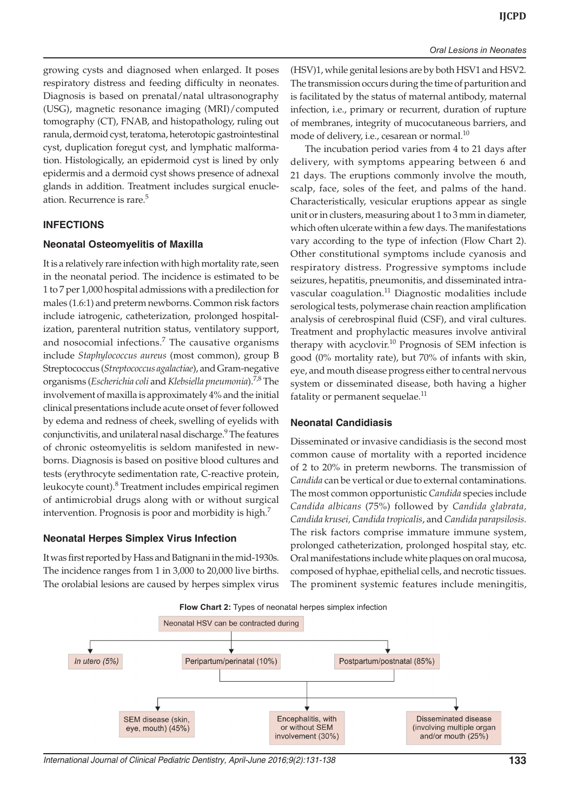growing cysts and diagnosed when enlarged. It poses respiratory distress and feeding difficulty in neonates. Diagnosis is based on prenatal/natal ultrasonography (USG), magnetic resonance imaging (MRI)/computed tomography (CT), FNAB, and histopathology, ruling out ranula, dermoid cyst, teratoma, heterotopic gastrointestinal cyst, duplication foregut cyst, and lymphatic malformation. Histologically, an epidermoid cyst is lined by only epidermis and a dermoid cyst shows presence of adnexal glands in addition. Treatment includes surgical enucleation. Recurrence is rare.<sup>5</sup>

#### **INFECTIONS**

#### **Neonatal Osteomyelitis of Maxilla**

It is a relatively rare infection with high mortality rate, seen in the neonatal period. The incidence is estimated to be 1 to 7 per 1,000 hospital admissions with a predilection for males (1.6:1) and preterm newborns. Common risk factors include iatrogenic, catheterization, prolonged hospitalization, parenteral nutrition status, ventilatory support, and nosocomial infections.<sup>7</sup> The causative organisms include *Staphylococcus aureus* (most common), group B Streptococcus (*Streptococcus agalactiae*), and Gram-negative organisms (*Escherichia coli* and *Klebsiella pneumonia*).7,8 The involvement of maxilla is approximately 4% and the initial clinical presentations include acute onset of fever followed by edema and redness of cheek, swelling of eyelids with conjunctivitis, and unilateral nasal discharge.<sup>9</sup> The features of chronic osteomyelitis is seldom manifested in newborns. Diagnosis is based on positive blood cultures and tests (erythrocyte sedimentation rate, C-reactive protein, leukocyte count).<sup>8</sup> Treatment includes empirical regimen of antimicrobial drugs along with or without surgical intervention. Prognosis is poor and morbidity is high.<sup>7</sup>

#### **Neonatal Herpes Simplex Virus Infection**

It was first reported by Hass and Batignani in the mid-1930s. The incidence ranges from 1 in 3,000 to 20,000 live births. The orolabial lesions are caused by herpes simplex virus

(HSV)1, while genital lesions are by both HSV1 and HSV2. The transmission occurs during the time of parturition and is facilitated by the status of maternal antibody, maternal infection, i.e., primary or recurrent, duration of rupture of membranes, integrity of mucocutaneous barriers, and mode of delivery, i.e., cesarean or normal.<sup>10</sup>

The incubation period varies from 4 to 21 days after delivery, with symptoms appearing between 6 and 21 days. The eruptions commonly involve the mouth, scalp, face, soles of the feet, and palms of the hand. Characteristically, vesicular eruptions appear as single unit or in clusters, measuring about 1 to 3 mm in diameter, which often ulcerate within a few days. The manifestations vary according to the type of infection (Flow Chart 2). Other constitutional symptoms include cyanosis and respiratory distress. Progressive symptoms include seizures, hepatitis, pneumonitis, and disseminated intravascular coagulation. $11$  Diagnostic modalities include serological tests, polymerase chain reaction amplification analysis of cerebrospinal fluid (CSF), and viral cultures. Treatment and prophylactic measures involve antiviral therapy with acyclovir.<sup>10</sup> Prognosis of SEM infection is good (0% mortality rate), but 70% of infants with skin, eye, and mouth disease progress either to central nervous system or disseminated disease, both having a higher fatality or permanent sequelae.<sup>11</sup>

#### **Neonatal Candidiasis**

Disseminated or invasive candidiasis is the second most common cause of mortality with a reported incidence of 2 to 20% in preterm newborns. The transmission of *Candida* can be vertical or due to external contaminations. The most common opportunistic *Candida* species include *Candida albicans* (75%) followed by *Candida glabrata, Candida krusei, Candida tropicalis*, and *Candida parapsilosis.* The risk factors comprise immature immune system, prolonged catheterization, prolonged hospital stay, etc. Oral manifestations include white plaques on oral mucosa, composed of hyphae, epithelial cells, and necrotic tissues. The prominent systemic features include meningitis,



*International Journal of Clinical Pediatric Dentistry, April-June 2016;9(2):131-138* **133**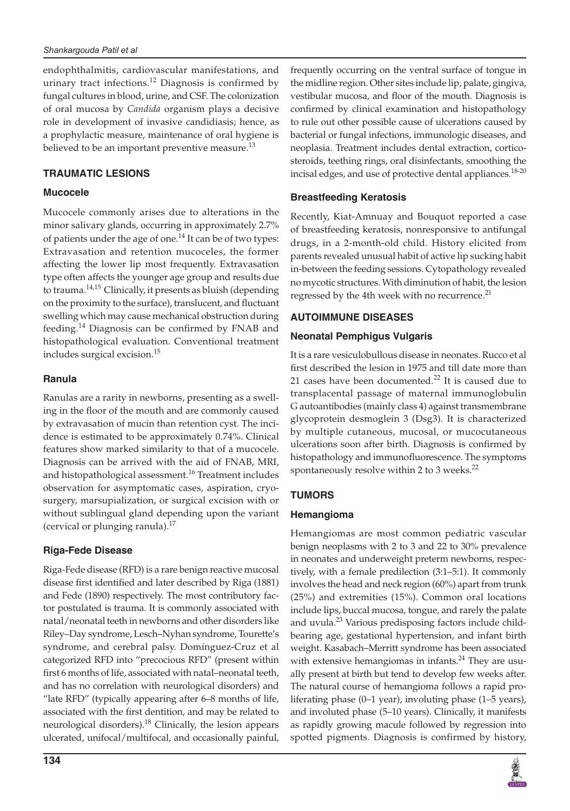endophthalmitis, cardiovascular manifestations, and urinary tract infections.<sup>12</sup> Diagnosis is confirmed by fungal cultures in blood, urine, and CSF. The colonization of oral mucosa by *Candida* organism plays a decisive role in development of invasive candidiasis; hence, as a prophylactic measure, maintenance of oral hygiene is believed to be an important preventive measure.<sup>13</sup>

# **TRAUMATIC LESIONS**

# **Mucocele**

Mucocele commonly arises due to alterations in the minor salivary glands, occurring in approximately 2.7% of patients under the age of one.<sup>14</sup> It can be of two types: Extravasation and retention mucoceles, the former affecting the lower lip most frequently. Extravasation type often affects the younger age group and results due to trauma.<sup>14,15</sup> Clinically, it presents as bluish (depending on the proximity to the surface), translucent, and fluctuant swelling which may cause mechanical obstruction during feeding.14 Diagnosis can be confirmed by FNAB and histopathological evaluation. Conventional treatment includes surgical excision.<sup>15</sup>

# **Ranula**

Ranulas are a rarity in newborns, presenting as a swelling in the floor of the mouth and are commonly caused by extravasation of mucin than retention cyst. The incidence is estimated to be approximately 0.74%. Clinical features show marked similarity to that of a mucocele. Diagnosis can be arrived with the aid of FNAB, MRI, and histopathological assessment.<sup>16</sup> Treatment includes observation for asymptomatic cases, aspiration, cryosurgery, marsupialization, or surgical excision with or without sublingual gland depending upon the variant (cervical or plunging ranula).<sup>17</sup>

# **Riga-Fede Disease**

Riga-Fede disease (RFD) is a rare benign reactive mucosal disease first identified and later described by Riga (1881) and Fede (1890) respectively. The most contributory factor postulated is trauma. It is commonly associated with natal/neonatal teeth in newborns and other disorders like Riley–Day syndrome, Lesch–Nyhan syndrome, Tourette's syndrome, and cerebral palsy. Domínguez-Cruz et al categorized RFD into "precocious RFD" (present within first 6 months of life, associated with natal–neonatal teeth, and has no correlation with neurological disorders) and "late RFD" (typically appearing after 6–8 months of life, associated with the first dentition, and may be related to neurological disorders).<sup>18</sup> Clinically, the lesion appears ulcerated, unifocal/multifocal, and occasionally painful,

frequently occurring on the ventral surface of tongue in the midline region. Other sites include lip, palate, gingiva, vestibular mucosa, and floor of the mouth. Diagnosis is confirmed by clinical examination and histopathology to rule out other possible cause of ulcerations caused by bacterial or fungal infections, immunologic diseases, and neoplasia. Treatment includes dental extraction, corticosteroids, teething rings, oral disinfectants, smoothing the incisal edges, and use of protective dental appliances.<sup>18-20</sup>

# **Breastfeeding Keratosis**

Recently, Kiat-Amnuay and Bouquot reported a case of breastfeeding keratosis, nonresponsive to antifungal drugs, in a 2-month-old child. History elicited from parents revealed unusual habit of active lip sucking habit in-between the feeding sessions. Cytopathology revealed no mycotic structures. With diminution of habit, the lesion regressed by the 4th week with no recurrence. $^{21}$ 

# **AUTOIMMUNE DISEASES**

#### **Neonatal Pemphigus Vulgaris**

It is a rare vesiculobullous disease in neonates. Rucco et al first described the lesion in 1975 and till date more than 21 cases have been documented. $^{22}$  It is caused due to transplacental passage of maternal immunoglobulin G autoantibodies (mainly class 4) against transmembrane glycoprotein desmoglein 3 (Dsg3). It is characterized by multiple cutaneous, mucosal, or mucocutaneous ulcerations soon after birth. Diagnosis is confirmed by histopathology and immunofluorescence. The symptoms spontaneously resolve within 2 to 3 weeks.<sup>22</sup>

# **TUMORS**

#### **Hemangioma**

Hemangiomas are most common pediatric vascular benign neoplasms with 2 to 3 and 22 to 30% prevalence in neonates and underweight preterm newborns, respectively, with a female predilection (3:1–5:1). It commonly involves the head and neck region (60%) apart from trunk (25%) and extremities (15%). Common oral locations include lips, buccal mucosa, tongue, and rarely the palate and uvula.<sup>23</sup> Various predisposing factors include childbearing age, gestational hypertension, and infant birth weight. Kasabach–Merritt syndrome has been associated with extensive hemangiomas in infants.<sup>24</sup> They are usually present at birth but tend to develop few weeks after. The natural course of hemangioma follows a rapid proliferating phase (0–1 year), involuting phase (1–5 years), and involuted phase (5–10 years). Clinically, it manifests as rapidly growing macule followed by regression into spotted pigments. Diagnosis is confirmed by history,

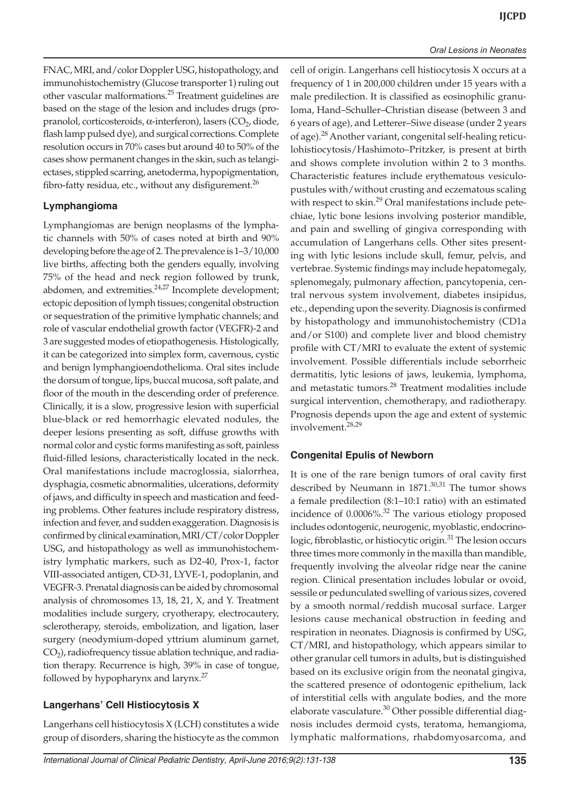FNAC, MRI, and/color Doppler USG, histopathology, and immunohistochemistry (Glucose transporter 1) ruling out other vascular malformations.<sup>25</sup> Treatment guidelines are based on the stage of the lesion and includes drugs (propranolol, corticosteroids, α-interferon), lasers  $(CO<sub>2</sub>, diode,$ flash lamp pulsed dye), and surgical corrections. Complete resolution occurs in 70% cases but around 40 to 50% of the cases show permanent changes in the skin, such as telangiectases, stippled scarring, anetoderma, hypopigmentation, fibro-fatty residua, etc., without any disfigurement. $^{26}$ 

# **Lymphangioma**

Lymphangiomas are benign neoplasms of the lymphatic channels with 50% of cases noted at birth and 90% developing before the age of 2. The prevalence is 1–3/10,000 live births, affecting both the genders equally, involving 75% of the head and neck region followed by trunk, abdomen, and extremities.<sup>24,27</sup> Incomplete development; ectopic deposition of lymph tissues; congenital obstruction or sequestration of the primitive lymphatic channels; and role of vascular endothelial growth factor (VEGFR)-2 and 3 are suggested modes of etiopathogenesis. Histologically, it can be categorized into simplex form, cavernous, cystic and benign lymphangioendothelioma. Oral sites include the dorsum of tongue, lips, buccal mucosa, soft palate, and floor of the mouth in the descending order of preference. Clinically, it is a slow, progressive lesion with superficial blue-black or red hemorrhagic elevated nodules, the deeper lesions presenting as soft, diffuse growths with normal color and cystic forms manifesting as soft, painless fluid-filled lesions, characteristically located in the neck. Oral manifestations include macroglossia, sialorrhea, dysphagia, cosmetic abnormalities, ulcerations, deformity of jaws, and difficulty in speech and mastication and feeding problems. Other features include respiratory distress, infection and fever, and sudden exaggeration. Diagnosis is confirmed by clinical examination, MRI/CT/color Doppler USG, and histopathology as well as immunohistochemistry lymphatic markers, such as D2-40, Prox-1, factor VIII-associated antigen, CD-31, LYVE-1, podoplanin, and VEGFR-3. Prenatal diagnosis can be aided by chromosomal analysis of chromosomes 13, 18, 21, X, and Y. Treatment modalities include surgery, cryotherapy, electrocautery, sclerotherapy, steroids, embolization, and ligation, laser surgery (neodymium-doped yttrium aluminum garnet,  $CO<sub>2</sub>$ ), radiofrequency tissue ablation technique, and radiation therapy. Recurrence is high, 39% in case of tongue, followed by hypopharynx and larynx.<sup>27</sup>

#### **Langerhans' Cell Histiocytosis X**

Langerhans cell histiocytosis X (LCH) constitutes a wide group of disorders, sharing the histiocyte as the common cell of origin. Langerhans cell histiocytosis X occurs at a frequency of 1 in 200,000 children under 15 years with a male predilection. It is classified as eosinophilic granuloma, Hand–Schuller–Christian disease (between 3 and 6 years of age), and Letterer–Siwe disease (under 2 years of age).<sup>28</sup> Another variant, congenital self-healing reticulohistiocytosis/Hashimoto–Pritzker, is present at birth and shows complete involution within 2 to 3 months. Characteristic features include erythematous vesiculopustules with/without crusting and eczematous scaling with respect to skin.<sup>29</sup> Oral manifestations include petechiae, lytic bone lesions involving posterior mandible, and pain and swelling of gingiva corresponding with accumulation of Langerhans cells. Other sites presenting with lytic lesions include skull, femur, pelvis, and vertebrae. Systemic findings may include hepatomegaly, splenomegaly, pulmonary affection, pancytopenia, central nervous system involvement, diabetes insipidus, etc., depending upon the severity. Diagnosis is confirmed by histopathology and immunohistochemistry (CD1a and/or S100) and complete liver and blood chemistry profile with CT/MRI to evaluate the extent of systemic involvement. Possible differentials include seborrheic dermatitis, lytic lesions of jaws, leukemia, lymphoma, and metastatic tumors.<sup>28</sup> Treatment modalities include surgical intervention, chemotherapy, and radiotherapy. Prognosis depends upon the age and extent of systemic involvement.28,29

#### **Congenital Epulis of Newborn**

It is one of the rare benign tumors of oral cavity first described by Neumann in  $1871$ .<sup>30,31</sup> The tumor shows a female predilection (8:1–10:1 ratio) with an estimated incidence of  $0.0006\%$ <sup>32</sup> The various etiology proposed includes odontogenic, neurogenic, myoblastic, endocrinologic, fibroblastic, or histiocytic origin.<sup>31</sup> The lesion occurs three times more commonly in the maxilla than mandible, frequently involving the alveolar ridge near the canine region. Clinical presentation includes lobular or ovoid, sessile or pedunculated swelling of various sizes, covered by a smooth normal/reddish mucosal surface. Larger lesions cause mechanical obstruction in feeding and respiration in neonates. Diagnosis is confirmed by USG, CT/MRI, and histopathology, which appears similar to other granular cell tumors in adults, but is distinguished based on its exclusive origin from the neonatal gingiva, the scattered presence of odontogenic epithelium, lack of interstitial cells with angulate bodies, and the more elaborate vasculature.<sup>30</sup> Other possible differential diagnosis includes dermoid cysts, teratoma, hemangioma, lymphatic malformations, rhabdomyosarcoma, and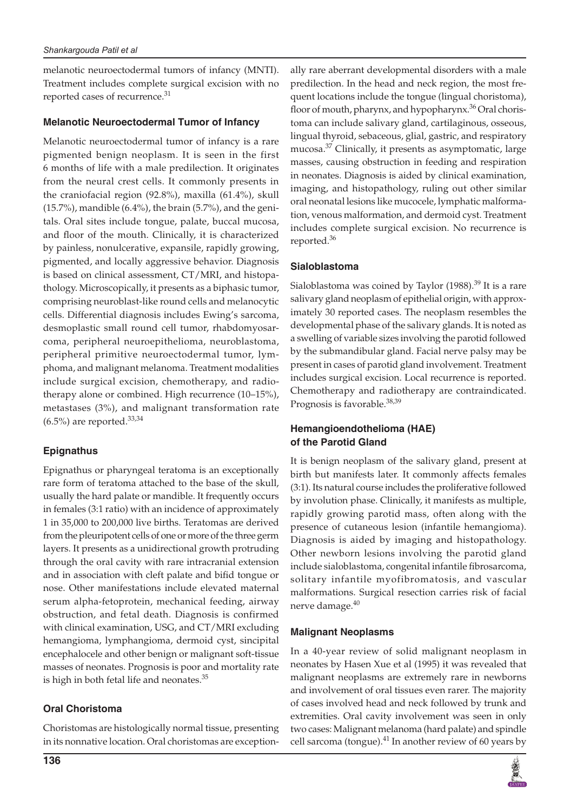melanotic neuroectodermal tumors of infancy (MNTI). Treatment includes complete surgical excision with no reported cases of recurrence.<sup>31</sup>

## **Melanotic Neuroectodermal Tumor of Infancy**

Melanotic neuroectodermal tumor of infancy is a rare pigmented benign neoplasm. It is seen in the first 6 months of life with a male predilection. It originates from the neural crest cells. It commonly presents in the craniofacial region (92.8%), maxilla (61.4%), skull (15.7%), mandible (6.4%), the brain (5.7%), and the genitals. Oral sites include tongue, palate, buccal mucosa, and floor of the mouth. Clinically, it is characterized by painless, nonulcerative, expansile, rapidly growing, pigmented, and locally aggressive behavior. Diagnosis is based on clinical assessment, CT/MRI, and histopathology. Microscopically, it presents as a biphasic tumor, comprising neuroblast-like round cells and melanocytic cells. Differential diagnosis includes Ewing's sarcoma, desmoplastic small round cell tumor, rhabdomyosarcoma, peripheral neuroepithelioma, neuroblastoma, peripheral primitive neuroectodermal tumor, lymphoma, and malignant melanoma. Treatment modalities include surgical excision, chemotherapy, and radiotherapy alone or combined. High recurrence (10–15%), metastases (3%), and malignant transformation rate  $(6.5\%)$  are reported.<sup>33,34</sup>

# **Epignathus**

Epignathus or pharyngeal teratoma is an exceptionally rare form of teratoma attached to the base of the skull, usually the hard palate or mandible. It frequently occurs in females (3:1 ratio) with an incidence of approximately 1 in 35,000 to 200,000 live births. Teratomas are derived from the pleuripotent cells of one or more of the three germ layers. It presents as a unidirectional growth protruding through the oral cavity with rare intracranial extension and in association with cleft palate and bifid tongue or nose. Other manifestations include elevated maternal serum alpha-fetoprotein, mechanical feeding, airway obstruction, and fetal death. Diagnosis is confirmed with clinical examination, USG, and CT/MRI excluding hemangioma, lymphangioma, dermoid cyst, sincipital encephalocele and other benign or malignant soft-tissue masses of neonates. Prognosis is poor and mortality rate is high in both fetal life and neonates.<sup>35</sup>

# **Oral Choristoma**

Choristomas are histologically normal tissue, presenting in its nonnative location. Oral choristomas are exceptionally rare aberrant developmental disorders with a male predilection. In the head and neck region, the most frequent locations include the tongue (lingual choristoma), floor of mouth, pharynx, and hypopharynx.<sup>36</sup> Oral choristoma can include salivary gland, cartilaginous, osseous, lingual thyroid, sebaceous, glial, gastric, and respiratory mucosa.<sup>37</sup> Clinically, it presents as asymptomatic, large masses, causing obstruction in feeding and respiration in neonates. Diagnosis is aided by clinical examination, imaging, and histopathology, ruling out other similar oral neonatal lesions like mucocele, lymphatic malformation, venous malformation, and dermoid cyst. Treatment includes complete surgical excision. No recurrence is reported.<sup>36</sup>

# **Sialoblastoma**

Sialoblastoma was coined by Taylor  $(1988)$ .<sup>39</sup> It is a rare salivary gland neoplasm of epithelial origin, with approximately 30 reported cases. The neoplasm resembles the developmental phase of the salivary glands. It is noted as a swelling of variable sizes involving the parotid followed by the submandibular gland. Facial nerve palsy may be present in cases of parotid gland involvement. Treatment includes surgical excision. Local recurrence is reported. Chemotherapy and radiotherapy are contraindicated. Prognosis is favorable.<sup>38,39</sup>

# **Hemangioendothelioma (HAE) of the Parotid Gland**

It is benign neoplasm of the salivary gland, present at birth but manifests later. It commonly affects females (3:1). Its natural course includes the proliferative followed by involution phase. Clinically, it manifests as multiple, rapidly growing parotid mass, often along with the presence of cutaneous lesion (infantile hemangioma). Diagnosis is aided by imaging and histopathology. Other newborn lesions involving the parotid gland include sialoblastoma, congenital infantile fibrosarcoma, solitary infantile myofibromatosis, and vascular malformations. Surgical resection carries risk of facial nerve damage.<sup>40</sup>

# **Malignant Neoplasms**

In a 40-year review of solid malignant neoplasm in neonates by Hasen Xue et al (1995) it was revealed that malignant neoplasms are extremely rare in newborns and involvement of oral tissues even rarer. The majority of cases involved head and neck followed by trunk and extremities. Oral cavity involvement was seen in only two cases: Malignant melanoma (hard palate) and spindle cell sarcoma (tongue).<sup>41</sup> In another review of 60 years by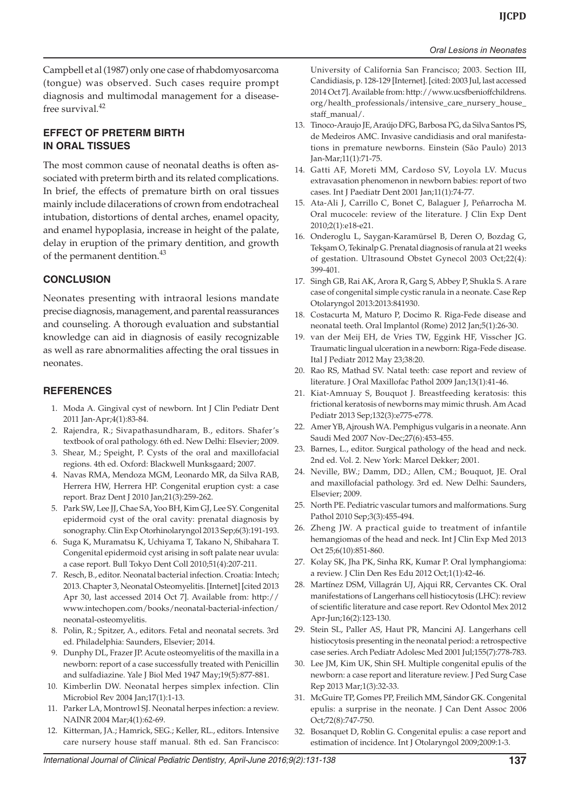#### *Oral Lesions in Neonates*

Campbell et al (1987) only one case of rhabdomyosarcoma (tongue) was observed. Such cases require prompt diagnosis and multimodal management for a diseasefree survival.<sup>42</sup>

#### **EFFECT OF PRETERM BIRTH IN ORAL TISSUES**

The most common cause of neonatal deaths is often associated with preterm birth and its related complications. In brief, the effects of premature birth on oral tissues mainly include dilacerations of crown from endotracheal intubation, distortions of dental arches, enamel opacity, and enamel hypoplasia, increase in height of the palate, delay in eruption of the primary dentition, and growth of the permanent dentition.<sup>43</sup>

#### **CONCLUSION**

Neonates presenting with intraoral lesions mandate precise diagnosis, management, and parental reassurances and counseling. A thorough evaluation and substantial knowledge can aid in diagnosis of easily recognizable as well as rare abnormalities affecting the oral tissues in neonates.

#### **REFERENCES**

- 1. Moda A. Gingival cyst of newborn. Int J Clin Pediatr Dent 2011 Jan-Apr;4(1):83-84.
- 2. Rajendra, R.; Sivapathasundharam, B., editors. Shafer's textbook of oral pathology. 6th ed. New Delhi: Elsevier; 2009.
- 3. Shear, M.; Speight, P. Cysts of the oral and maxillofacial regions. 4th ed. Oxford: Blackwell Munksgaard; 2007.
- 4. Navas RMA, Mendoza MGM, Leonardo MR, da Silva RAB, Herrera HW, Herrera HP. Congenital eruption cyst: a case report. Braz Dent J 2010 Jan;21(3):259-262.
- 5. Park SW, Lee JJ, Chae SA, Yoo BH, Kim GJ, Lee SY. Congenital epidermoid cyst of the oral cavity: prenatal diagnosis by sonography. Clin Exp Otorhinolaryngol 2013 Sep;6(3):191-193.
- 6. Suga K, Muramatsu K, Uchiyama T, Takano N, Shibahara T. Congenital epidermoid cyst arising in soft palate near uvula: a case report. Bull Tokyo Dent Coll 2010;51(4):207-211.
- 7. Resch, B., editor. Neonatal bacterial infection. Croatia: Intech; 2013. Chapter 3, Neonatal Osteomyelitis. [Internet] [cited 2013 Apr 30, last accessed 2014 Oct 7]. Available from: http:// www.intechopen.com/books/neonatal-bacterial-infection/ neonatal-osteomyelitis.
- 8. Polin, R.; Spitzer, A., editors. Fetal and neonatal secrets. 3rd ed. Philadelphia: Saunders, Elsevier; 2014.
- 9. Dunphy DL, Frazer JP. Acute osteomyelitis of the maxilla in a newborn: report of a case successfully treated with Penicillin and sulfadiazine. Yale J Biol Med 1947 May;19(5):877-881.
- 10. Kimberlin DW. Neonatal herpes simplex infection. Clin Microbiol Rev 2004 Jan;17(1):1-13.
- 11. Parker LA, Montrowl SJ. Neonatal herpes infection: a review. NAINR 2004 Mar;4(1):62-69.
- 12. Kitterman, JA.; Hamrick, SEG.; Keller, RL., editors. Intensive care nursery house staff manual. 8th ed. San Francisco:

University of California San Francisco; 2003. Section III, Candidiasis, p. 128-129 [Internet]. [cited: 2003 Jul, last accessed 2014 Oct 7]. Available from: http://www.ucsfbenioffchildrens. org/health\_professionals/intensive\_care\_nursery\_house\_ staff\_manual/.

- 13. Tinoco-Araujo JE, Araújo DFG, Barbosa PG, da Silva Santos PS, de Medeiros AMC. Invasive candidiasis and oral manifestations in premature newborns. Einstein (São Paulo) 2013 Jan-Mar;11(1):71-75.
- 14. Gatti AF, Moreti MM, Cardoso SV, Loyola LV. Mucus extravasation phenomenon in newborn babies: report of two cases. Int J Paediatr Dent 2001 Jan;11(1):74-77.
- 15. Ata-Ali J, Carrillo C, Bonet C, Balaguer J, Peñarrocha M. Oral mucocele: review of the literature. J Clin Exp Dent 2010;2(1):e18-e21.
- 16. Onderoglu L, Saygan-Karamürsel B, Deren O, Bozdag G, Tekşam O, Tekinalp G. Prenatal diagnosis of ranula at 21 weeks of gestation. Ultrasound Obstet Gynecol 2003 Oct;22(4): 399-401.
- 17. Singh GB, Rai AK, Arora R, Garg S, Abbey P, Shukla S. A rare case of congenital simple cystic ranula in a neonate. Case Rep Otolaryngol 2013:2013:841930.
- 18. Costacurta M, Maturo P, Docimo R. Riga-Fede disease and neonatal teeth. Oral Implantol (Rome) 2012 Jan;5(1):26-30.
- 19. van der Meij EH, de Vries TW, Eggink HF, Visscher JG. Traumatic lingual ulceration in a newborn: Riga-Fede disease. Ital J Pediatr 2012 May 23;38:20.
- 20. Rao RS, Mathad SV. Natal teeth: case report and review of literature. J Oral Maxillofac Pathol 2009 Jan;13(1):41-46.
- 21. Kiat-Amnuay S, Bouquot J. Breastfeeding keratosis: this frictional keratosis of newborns may mimic thrush. Am Acad Pediatr 2013 Sep;132(3):e775-e778.
- 22. Amer YB, Ajroush WA. Pemphigus vulgaris in a neonate. Ann Saudi Med 2007 Nov-Dec;27(6):453-455.
- 23. Barnes, L., editor. Surgical pathology of the head and neck. 2nd ed. Vol. 2. New York: Marcel Dekker; 2001.
- 24. Neville, BW.; Damm, DD.; Allen, CM.; Bouquot, JE. Oral and maxillofacial pathology. 3rd ed. New Delhi: Saunders, Elsevier; 2009.
- 25. North PE. Pediatric vascular tumors and malformations. Surg Pathol 2010 Sep;3(3):455-494.
- 26. Zheng JW. A practical guide to treatment of infantile hemangiomas of the head and neck. Int J Clin Exp Med 2013 Oct 25;6(10):851-860.
- 27. Kolay SK, Jha PK, Sinha RK, Kumar P. Oral lymphangioma: a review. J Clin Den Res Edu 2012 Oct;1(1):42-46.
- 28. Martínez DSM, Villagrán UJ, Ajqui RR, Cervantes CK. Oral manifestations of Langerhans cell histiocytosis (LHC): review of scientific literature and case report. Rev Odontol Mex 2012 Apr-Jun;16(2):123-130.
- 29. Stein SL, Paller AS, Haut PR, Mancini AJ. Langerhans cell histiocytosis presenting in the neonatal period: a retrospective case series. Arch Pediatr Adolesc Med 2001 Jul;155(7):778-783.
- 30. Lee JM, Kim UK, Shin SH. Multiple congenital epulis of the newborn: a case report and literature review. J Ped Surg Case Rep 2013 Mar;1(3):32-33.
- 31. McGuire TP, Gomes PP, Freilich MM, Sándor GK. Congenital epulis: a surprise in the neonate. J Can Dent Assoc 2006 Oct;72(8):747-750.
- 32. Bosanquet D, Roblin G. Congenital epulis: a case report and estimation of incidence. Int J Otolaryngol 2009;2009:1-3.